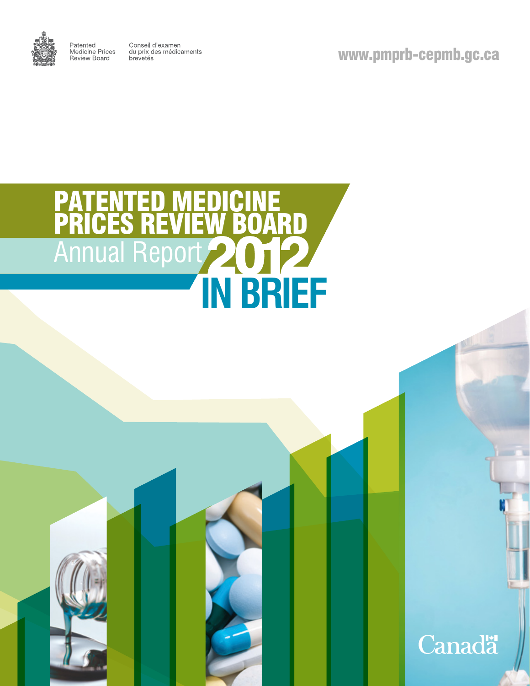

Patented<br>Medicine Prices<br>Review Board Conseil d'examen du prix des médicaments<br>brevetés

www.pmprb-cepmb.gc.ca

**Canadä** 

# PATENTED MEDICINE PRICES REVIEW BOARD Annual Report **IN BRIEF**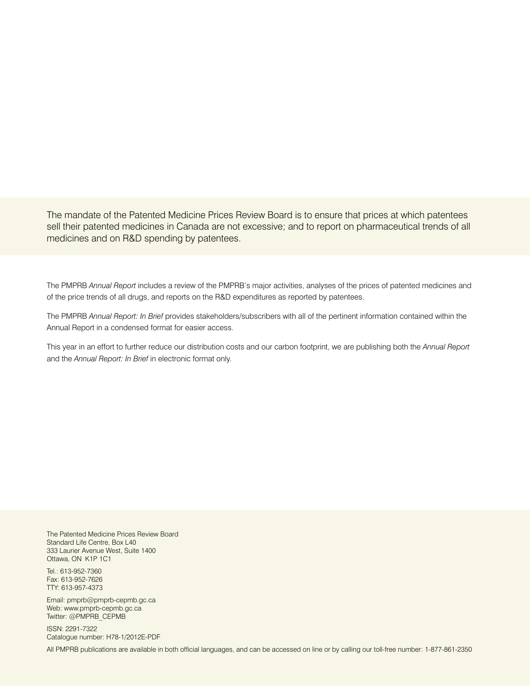The mandate of the Patented Medicine Prices Review Board is to ensure that prices at which patentees sell their patented medicines in Canada are not excessive; and to report on pharmaceutical trends of all medicines and on R&D spending by patentees.

The PMPRB *Annual Report* includes a review of the PMPRB's major activities, analyses of the prices of patented medicines and of the price trends of all drugs, and reports on the R&D expenditures as reported by patentees.

The PMPRB *Annual Report: In Brief* provides stakeholders/subscribers with all of the pertinent information contained within the Annual Report in a condensed format for easier access.

This year in an effort to further reduce our distribution costs and our carbon footprint, we are publishing both the *Annual Report* and the *Annual Report: In Brief* in electronic format only.

The Patented Medicine Prices Review Board Standard Life Centre, Box L40 333 Laurier Avenue West, Suite 1400 Ottawa, ON K1P 1C1

Tel.: 613-952-7360 Fax: 613-952-7626 TTY: 613-957-4373

Email: pmprb@pmprb-cepmb.gc.ca Web: www.pmprb-cepmb.gc.ca Twitter: @PMPRB\_CEPMB

ISSN: 2291-7322 Catalogue number: H78-1/2012E-PDF

All PMPRB publications are available in both official languages, and can be accessed on line or by calling our toll-free number: 1-877-861-2350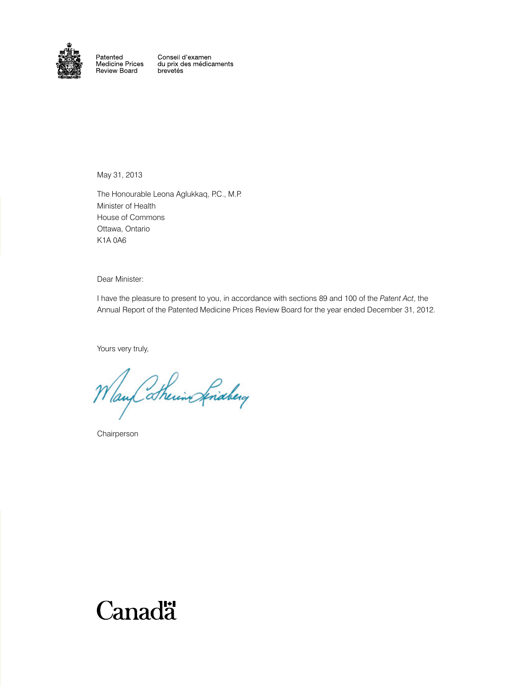

Patented Faterited<br>Medicine Prices<br>Review Board Conseil d'examen<br>du prix des médicaments brevetés

May 31, 2013

The Honourable Leona Aglukkaq, P.C., M.P. Minister of Health House of Commons Ottawa, Ontario K1A 0A6

Dear Minister:

I have the pleasure to present to you, in accordance with sections 89 and 100 of the *Patent Act*, the Annual Report of the Patented Medicine Prices Review Board for the year ended December 31, 2012.

Yours very truly,

Way thering friday

Chairperson

## Canadä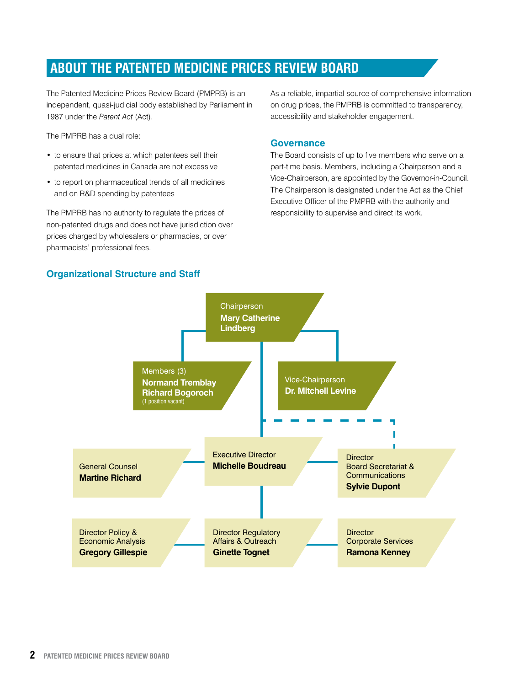## **About the Patented Medicine Prices Review Board**

The Patented Medicine Prices Review Board (PMPRB) is an independent, quasi-judicial body established by Parliament in 1987 under the *Patent Act* (Act).

The PMPRB has a dual role:

- to ensure that prices at which patentees sell their patented medicines in Canada are not excessive
- to report on pharmaceutical trends of all medicines and on R&D spending by patentees

The PMPRB has no authority to regulate the prices of non-patented drugs and does not have jurisdiction over prices charged by wholesalers or pharmacies, or over pharmacists' professional fees.

**Organizational Structure and Staff**

As a reliable, impartial source of comprehensive information on drug prices, the PMPRB is committed to transparency, accessibility and stakeholder engagement.

#### **Governance**

The Board consists of up to five members who serve on a part-time basis. Members, including a Chairperson and a Vice-Chairperson, are appointed by the Governor-in-Council. The Chairperson is designated under the Act as the Chief Executive Officer of the PMPRB with the authority and responsibility to supervise and direct its work.

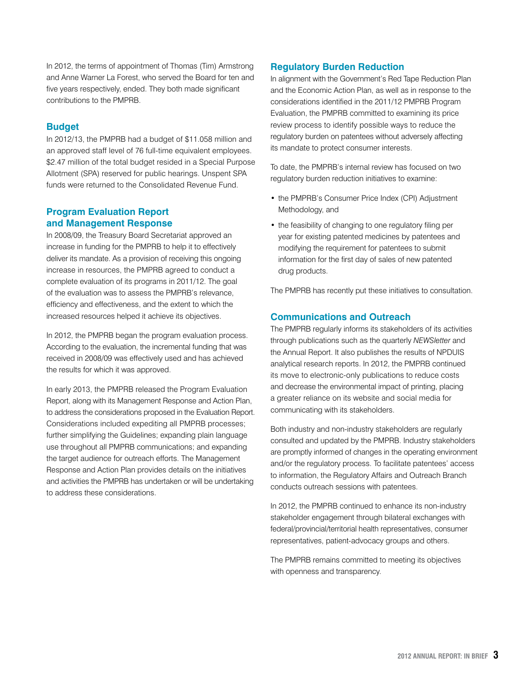In 2012, the terms of appointment of Thomas (Tim) Armstrong and Anne Warner La Forest, who served the Board for ten and five years respectively, ended. They both made significant contributions to the PMPRB.

#### **Budget**

In 2012/13, the PMPRB had a budget of \$11.058 million and an approved staff level of 76 full-time equivalent employees. \$2.47 million of the total budget resided in a Special Purpose Allotment (SPA) reserved for public hearings. Unspent SPA funds were returned to the Consolidated Revenue Fund.

#### **Program Evaluation Report and Management Response**

In 2008/09, the Treasury Board Secretariat approved an increase in funding for the PMPRB to help it to effectively deliver its mandate. As a provision of receiving this ongoing increase in resources, the PMPRB agreed to conduct a complete evaluation of its programs in 2011/12. The goal of the evaluation was to assess the PMPRB's relevance, efficiency and effectiveness, and the extent to which the increased resources helped it achieve its objectives.

In 2012, the PMPRB began the program evaluation process. According to the evaluation, the incremental funding that was received in 2008/09 was effectively used and has achieved the results for which it was approved.

In early 2013, the PMPRB released the Program Evaluation Report, along with its Management Response and Action Plan, to address the considerations proposed in the Evaluation Report. Considerations included expediting all PMPRB processes; further simplifying the Guidelines; expanding plain language use throughout all PMPRB communications; and expanding the target audience for outreach efforts. The Management Response and Action Plan provides details on the initiatives and activities the PMPRB has undertaken or will be undertaking to address these considerations.

#### **Regulatory Burden Reduction**

In alignment with the Government's Red Tape Reduction Plan and the Economic Action Plan, as well as in response to the considerations identified in the 2011/12 PMPRB Program Evaluation, the PMPRB committed to examining its price review process to identify possible ways to reduce the regulatory burden on patentees without adversely affecting its mandate to protect consumer interests.

To date, the PMPRB's internal review has focused on two regulatory burden reduction initiatives to examine:

- the PMPRB's Consumer Price Index (CPI) Adjustment Methodology, and
- the feasibility of changing to one regulatory filing per year for existing patented medicines by patentees and modifying the requirement for patentees to submit information for the first day of sales of new patented drug products.

The PMPRB has recently put these initiatives to consultation.

#### **Communications and Outreach**

The PMPRB regularly informs its stakeholders of its activities through publications such as the quarterly *NEWSletter* and the Annual Report. It also publishes the results of NPDUIS analytical research reports. In 2012, the PMPRB continued its move to electronic-only publications to reduce costs and decrease the environmental impact of printing, placing a greater reliance on its website and social media for communicating with its stakeholders.

Both industry and non-industry stakeholders are regularly consulted and updated by the PMPRB. Industry stakeholders are promptly informed of changes in the operating environment and/or the regulatory process. To facilitate patentees' access to information, the Regulatory Affairs and Outreach Branch conducts outreach sessions with patentees.

In 2012, the PMPRB continued to enhance its non-industry stakeholder engagement through bilateral exchanges with federal/provincial/territorial health representatives, consumer representatives, patient-advocacy groups and others.

The PMPRB remains committed to meeting its objectives with openness and transparency.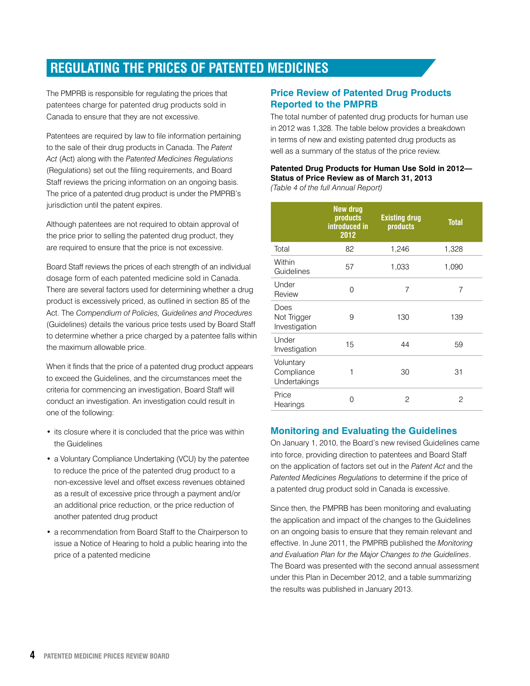## **Regulating the Prices of Patented Medicines**

The PMPRB is responsible for regulating the prices that patentees charge for patented drug products sold in Canada to ensure that they are not excessive.

Patentees are required by law to file information pertaining to the sale of their drug products in Canada. The *Patent Act* (Act) along with the *Patented Medicines Regulations* (Regulations) set out the filing requirements, and Board Staff reviews the pricing information on an ongoing basis. The price of a patented drug product is under the PMPRB's jurisdiction until the patent expires.

Although patentees are not required to obtain approval of the price prior to selling the patented drug product, they are required to ensure that the price is not excessive.

Board Staff reviews the prices of each strength of an individual dosage form of each patented medicine sold in Canada. There are several factors used for determining whether a drug product is excessively priced, as outlined in section 85 of the Act. The *Compendium of Policies, Guidelines and Procedures* (Guidelines) details the various price tests used by Board Staff to determine whether a price charged by a patentee falls within the maximum allowable price.

When it finds that the price of a patented drug product appears to exceed the Guidelines, and the circumstances meet the criteria for commencing an investigation, Board Staff will conduct an investigation. An investigation could result in one of the following:

- its closure where it is concluded that the price was within the Guidelines
- a Voluntary Compliance Undertaking (VCU) by the patentee to reduce the price of the patented drug product to a non-excessive level and offset excess revenues obtained as a result of excessive price through a payment and/or an additional price reduction, or the price reduction of another patented drug product
- a recommendation from Board Staff to the Chairperson to issue a Notice of Hearing to hold a public hearing into the price of a patented medicine

#### **Price Review of Patented Drug Products Reported to the PMPRB**

The total number of patented drug products for human use in 2012 was 1,328. The table below provides a breakdown in terms of new and existing patented drug products as well as a summary of the status of the price review.

#### **Patented Drug Products for Human Use Sold in 2012— Status of Price Review as of March 31, 2013**

*(Table 4 of the full Annual Report)*

|                                         | <b>New drug</b><br><b>products</b><br>introduced in<br>2012 | <b>Existing drug</b><br>products | <b>Total</b> |
|-----------------------------------------|-------------------------------------------------------------|----------------------------------|--------------|
| Total                                   | 82                                                          | 1,246                            | 1,328        |
| Within<br>Guidelines                    | 57                                                          | 1,033                            | 1,090        |
| Under<br>Review                         | 0                                                           | 7                                | 7            |
| Does<br>Not Trigger<br>Investigation    | 9                                                           | 130                              | 139          |
| Under<br>Investigation                  | 15                                                          | 44                               | 59           |
| Voluntary<br>Compliance<br>Undertakings | 1                                                           | 30                               | 31           |
| Price<br>Hearings                       | U                                                           | 2                                | 2            |

#### **Monitoring and Evaluating the Guidelines**

On January 1, 2010, the Board's new revised Guidelines came into force, providing direction to patentees and Board Staff on the application of factors set out in the *Patent Act* and the *Patented Medicines Regulations* to determine if the price of a patented drug product sold in Canada is excessive.

Since then, the PMPRB has been monitoring and evaluating the application and impact of the changes to the Guidelines on an ongoing basis to ensure that they remain relevant and effective. In June 2011, the PMPRB published the *Monitoring and Evaluation Plan for the Major Changes to the Guidelines*. The Board was presented with the second annual assessment under this Plan in December 2012, and a table summarizing the results was published in January 2013.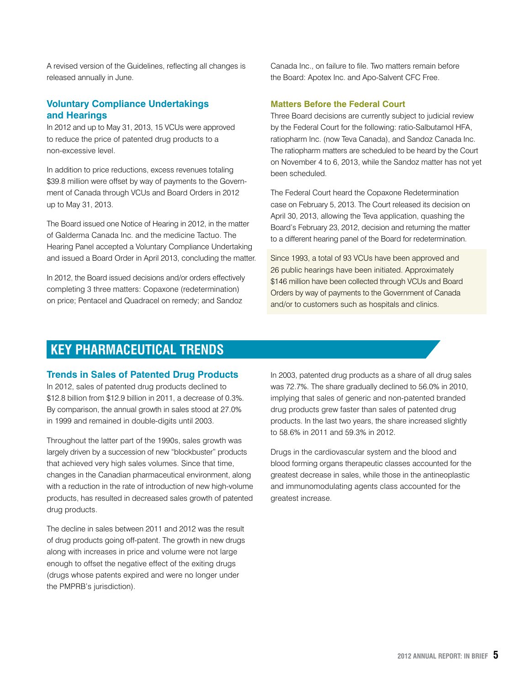A revised version of the Guidelines, reflecting all changes is released annually in June.

#### **Voluntary Compliance Undertakings and Hearings**

In 2012 and up to May 31, 2013, 15 VCUs were approved to reduce the price of patented drug products to a non-excessive level.

In addition to price reductions, excess revenues totaling \$39.8 million were offset by way of payments to the Government of Canada through VCUs and Board Orders in 2012 up to May 31, 2013.

The Board issued one Notice of Hearing in 2012, in the matter of Galderma Canada Inc. and the medicine Tactuo. The Hearing Panel accepted a Voluntary Compliance Undertaking and issued a Board Order in April 2013, concluding the matter.

In 2012, the Board issued decisions and/or orders effectively completing 3 three matters: Copaxone (redetermination) on price; Pentacel and Quadracel on remedy; and Sandoz

Canada Inc., on failure to file. Two matters remain before the Board: Apotex Inc. and Apo-Salvent CFC Free.

#### **Matters Before the Federal Court**

Three Board decisions are currently subject to judicial review by the Federal Court for the following: ratio-Salbutamol HFA, ratiopharm Inc. (now Teva Canada), and Sandoz Canada Inc. The ratiopharm matters are scheduled to be heard by the Court on November 4 to 6, 2013, while the Sandoz matter has not yet been scheduled.

The Federal Court heard the Copaxone Redetermination case on February 5, 2013. The Court released its decision on April 30, 2013, allowing the Teva application, quashing the Board's February 23, 2012, decision and returning the matter to a different hearing panel of the Board for redetermination.

Since 1993, a total of 93 VCUs have been approved and 26 public hearings have been initiated. Approximately \$146 million have been collected through VCUs and Board Orders by way of payments to the Government of Canada and/or to customers such as hospitals and clinics.

### **Key Pharmaceutical Trends**

#### **Trends in Sales of Patented Drug Products**

In 2012, sales of patented drug products declined to \$12.8 billion from \$12.9 billion in 2011, a decrease of 0.3%. By comparison, the annual growth in sales stood at 27.0% in 1999 and remained in double-digits until 2003.

Throughout the latter part of the 1990s, sales growth was largely driven by a succession of new "blockbuster" products that achieved very high sales volumes. Since that time, changes in the Canadian pharmaceutical environment, along with a reduction in the rate of introduction of new high-volume products, has resulted in decreased sales growth of patented drug products.

The decline in sales between 2011 and 2012 was the result of drug products going off-patent. The growth in new drugs along with increases in price and volume were not large enough to offset the negative effect of the exiting drugs (drugs whose patents expired and were no longer under the PMPRB's jurisdiction).

In 2003, patented drug products as a share of all drug sales was 72.7%. The share gradually declined to 56.0% in 2010, implying that sales of generic and non-patented branded drug products grew faster than sales of patented drug products. In the last two years, the share increased slightly to 58.6% in 2011 and 59.3% in 2012.

Drugs in the cardiovascular system and the blood and blood forming organs therapeutic classes accounted for the greatest decrease in sales, while those in the antineoplastic and immunomodulating agents class accounted for the greatest increase.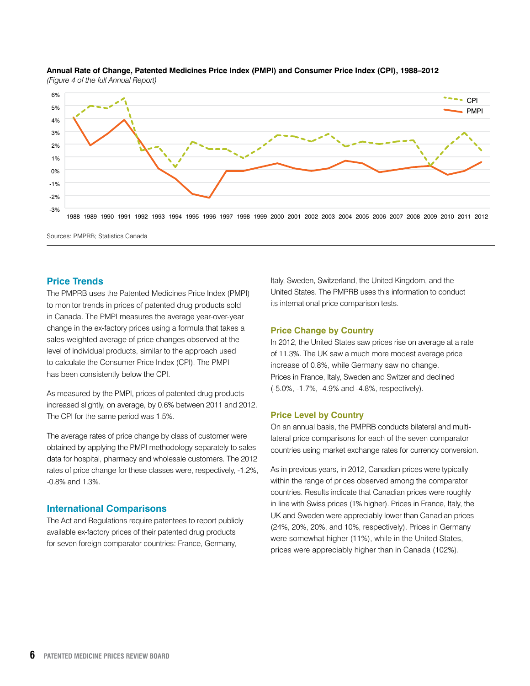

#### **Annual Rate of Change, Patented Medicines Price Index (PMPI) and Consumer Price Index (CPI), 1988–2012** *(Figure 4 of the full Annual Report)*

Sources: PMPRB; Statistics Canada

#### **Price Trends**

The PMPRB uses the Patented Medicines Price Index (PMPI) to monitor trends in prices of patented drug products sold in Canada. The PMPI measures the average year-over-year change in the ex-factory prices using a formula that takes a sales-weighted average of price changes observed at the level of individual products, similar to the approach used to calculate the Consumer Price Index (CPI). The PMPI has been consistently below the CPI.

As measured by the PMPI, prices of patented drug products increased slightly, on average, by 0.6% between 2011 and 2012. The CPI for the same period was 1.5%.

The average rates of price change by class of customer were obtained by applying the PMPI methodology separately to sales data for hospital, pharmacy and wholesale customers. The 2012 rates of price change for these classes were, respectively, -1.2%, -0.8% and 1.3%.

#### **International Comparisons**

The Act and Regulations require patentees to report publicly available ex-factory prices of their patented drug products for seven foreign comparator countries: France, Germany,

Italy, Sweden, Switzerland, the United Kingdom, and the United States. The PMPRB uses this information to conduct its international price comparison tests.

#### **Price Change by Country**

In 2012, the United States saw prices rise on average at a rate of 11.3%. The UK saw a much more modest average price increase of 0.8%, while Germany saw no change. Prices in France, Italy, Sweden and Switzerland declined (-5.0%, -1.7%, -4.9% and -4.8%, respectively).

#### **Price Level by Country**

On an annual basis, the PMPRB conducts bilateral and multilateral price comparisons for each of the seven comparator countries using market exchange rates for currency conversion.

As in previous years, in 2012, Canadian prices were typically within the range of prices observed among the comparator countries. Results indicate that Canadian prices were roughly in line with Swiss prices (1% higher). Prices in France, Italy, the UK and Sweden were appreciably lower than Canadian prices (24%, 20%, 20%, and 10%, respectively). Prices in Germany were somewhat higher (11%), while in the United States, prices were appreciably higher than in Canada (102%).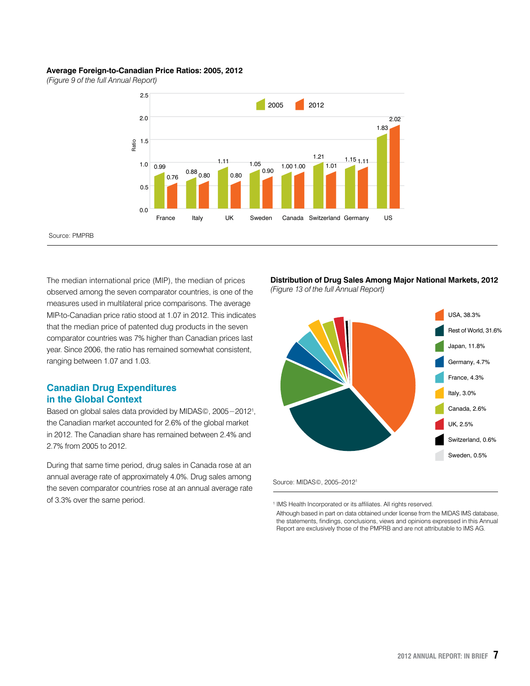#### **Average Foreign-to-Canadian Price Ratios: 2005, 2012**

*(Figure 9 of the full Annual Report)*

Source: PMPRB



The median international price (MIP), the median of prices observed among the seven comparator countries, is one of the measures used in multilateral price comparisons. The average MIP-to-Canadian price ratio stood at 1.07 in 2012. This indicates that the median price of patented dug products in the seven comparator countries was 7% higher than Canadian prices last year. Since 2006, the ratio has remained somewhat consistent, ranging between 1.07 and 1.03.

#### **Canadian Drug Expenditures in the Global Context**

Based on global sales data provided by MIDAS©, 2005−20121 , the Canadian market accounted for 2.6% of the global market in 2012. The Canadian share has remained between 2.4% and 2.7% from 2005 to 2012.

During that same time period, drug sales in Canada rose at an annual average rate of approximately 4.0%. Drug sales among the seven comparator countries rose at an annual average rate of 3.3% over the same period.

**Distribution of Drug Sales Among Major National Markets, 2012** *(Figure 13 of the full Annual Report)*



Source: MIDAS©, 2005–20121

<sup>1</sup> IMS Health Incorporated or its affiliates. All rights reserved.

Although based in part on data obtained under license from the MIDAS IMS database, the statements, findings, conclusions, views and opinions expressed in this Annual Report are exclusively those of the PMPRB and are not attributable to IMS AG.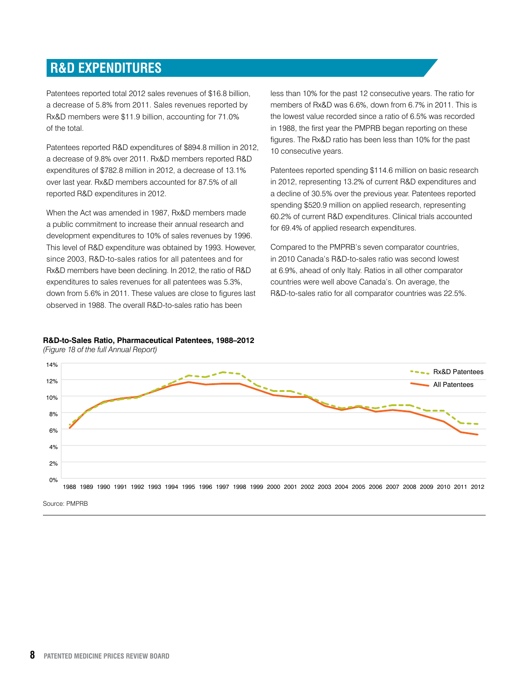## **R&D Expenditures**

Patentees reported total 2012 sales revenues of \$16.8 billion, a decrease of 5.8% from 2011. Sales revenues reported by Rx&D members were \$11.9 billion, accounting for 71.0% of the total.

Patentees reported R&D expenditures of \$894.8 million in 2012, a decrease of 9.8% over 2011. Rx&D members reported R&D expenditures of \$782.8 million in 2012, a decrease of 13.1% over last year. Rx&D members accounted for 87.5% of all reported R&D expenditures in 2012.

When the Act was amended in 1987, Rx&D members made a public commitment to increase their annual research and development expenditures to 10% of sales revenues by 1996. This level of R&D expenditure was obtained by 1993. However, since 2003, R&D-to-sales ratios for all patentees and for Rx&D members have been declining. In 2012, the ratio of R&D expenditures to sales revenues for all patentees was 5.3%, down from 5.6% in 2011. These values are close to figures last observed in 1988. The overall R&D-to-sales ratio has been

less than 10% for the past 12 consecutive years. The ratio for members of Rx&D was 6.6%, down from 6.7% in 2011. This is the lowest value recorded since a ratio of 6.5% was recorded in 1988, the first year the PMPRB began reporting on these figures. The Rx&D ratio has been less than 10% for the past 10 consecutive years.

Patentees reported spending \$114.6 million on basic research in 2012, representing 13.2% of current R&D expenditures and a decline of 30.5% over the previous year. Patentees reported spending \$520.9 million on applied research, representing 60.2% of current R&D expenditures. Clinical trials accounted for 69.4% of applied research expenditures.

Compared to the PMPRB's seven comparator countries, in 2010 Canada's R&D-to-sales ratio was second lowest at 6.9%, ahead of only Italy. Ratios in all other comparator countries were well above Canada's. On average, the R&D-to-sales ratio for all comparator countries was 22.5%.

#### **R&D-to-Sales Ratio, Pharmaceutical Patentees, 1988–2012**



*(Figure 18 of the full Annual Report)*

Source: PMPRB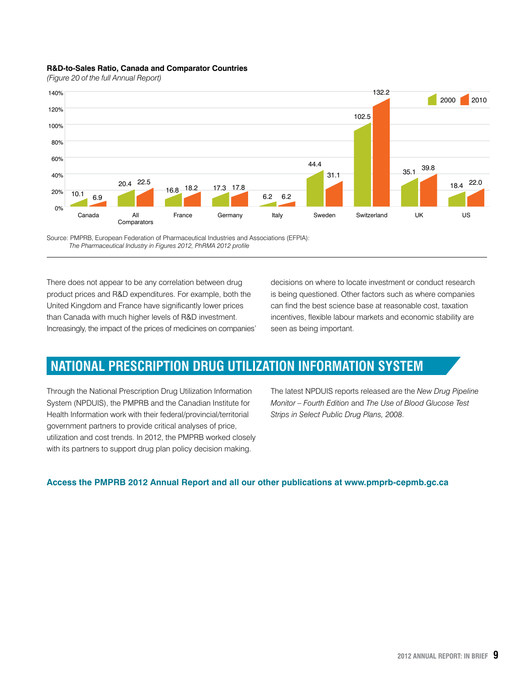#### **R&D-to-Sales Ratio, Canada and Comparator Countries**

*(Figure 20 of the full Annual Report)*



Source: PMPRB, European Federation of Pharmaceutical Industries and Associations (EFPIA):  *The Pharmaceutical Industry in Figures 2012, PhRMA 2012 profile*

There does not appear to be any correlation between drug product prices and R&D expenditures. For example, both the United Kingdom and France have significantly lower prices than Canada with much higher levels of R&D investment. Increasingly, the impact of the prices of medicines on companies' decisions on where to locate investment or conduct research is being questioned. Other factors such as where companies can find the best science base at reasonable cost, taxation incentives, flexible labour markets and economic stability are seen as being important.

## **National Prescription Drug Utilization Information System**

Through the National Prescription Drug Utilization Information System (NPDUIS), the PMPRB and the Canadian Institute for Health Information work with their federal/provincial/territorial government partners to provide critical analyses of price, utilization and cost trends. In 2012, the PMPRB worked closely with its partners to support drug plan policy decision making.

The latest NPDUIS reports released are the *New Drug Pipeline Monitor – Fourth Edition* and *The Use of Blood Glucose Test Strips in Select Public Drug Plans, 2008*.

#### **Access the PMPRB 2012 Annual Report and all our other publications at www.pmprb-cepmb.gc.ca**